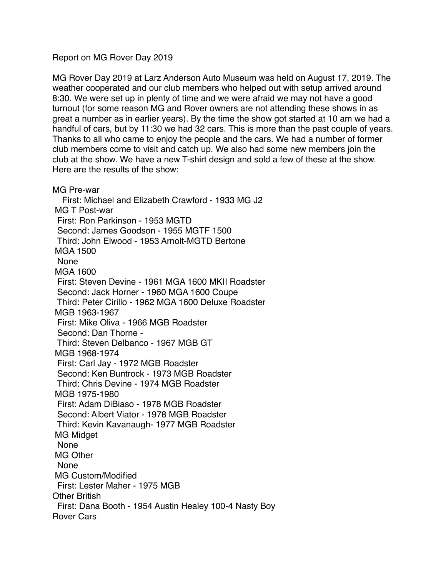## Report on MG Rover Day 2019

MG Rover Day 2019 at Larz Anderson Auto Museum was held on August 17, 2019. The weather cooperated and our club members who helped out with setup arrived around 8:30. We were set up in plenty of time and we were afraid we may not have a good turnout (for some reason MG and Rover owners are not attending these shows in as great a number as in earlier years). By the time the show got started at 10 am we had a handful of cars, but by 11:30 we had 32 cars. This is more than the past couple of years. Thanks to all who came to enjoy the people and the cars. We had a number of former club members come to visit and catch up. We also had some new members join the club at the show. We have a new T-shirt design and sold a few of these at the show. Here are the results of the show:

MG Pre-war First: Michael and Elizabeth Crawford - 1933 MG J2 MG T Post-war First: Ron Parkinson - 1953 MGTD Second: James Goodson - 1955 MGTF 1500 Third: John Elwood - 1953 Arnolt-MGTD Bertone MGA 1500 None MGA 1600 First: Steven Devine - 1961 MGA 1600 MKII Roadster Second: Jack Horner - 1960 MGA 1600 Coupe Third: Peter Cirillo - 1962 MGA 1600 Deluxe Roadster MGB 1963-1967 First: Mike Oliva - 1966 MGB Roadster Second: Dan Thorne - Third: Steven Delbanco - 1967 MGB GT MGB 1968-1974 First: Carl Jay - 1972 MGB Roadster Second: Ken Buntrock - 1973 MGB Roadster Third: Chris Devine - 1974 MGB Roadster MGB 1975-1980 First: Adam DiBiaso - 1978 MGB Roadster Second: Albert Viator - 1978 MGB Roadster Third: Kevin Kavanaugh- 1977 MGB Roadster MG Midget None MG Other None MG Custom/Modified First: Lester Maher - 1975 MGB Other British First: Dana Booth - 1954 Austin Healey 100-4 Nasty Boy Rover Cars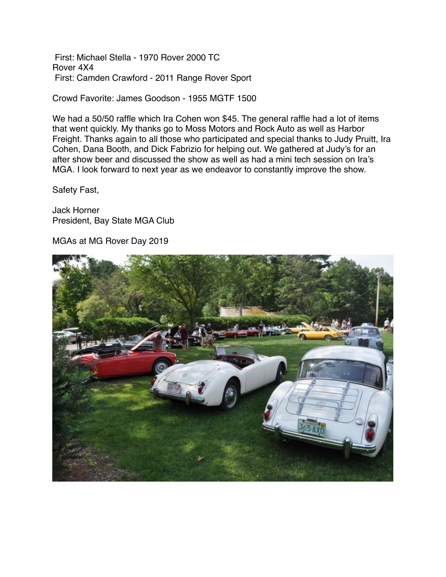First: Michael Stella - 1970 Rover 2000 TC Rover 4X4 First: Camden Crawford - 2011 Range Rover Sport

Crowd Favorite: James Goodson - 1955 MGTF 1500

We had a 50/50 raffle which Ira Cohen won \$45. The general raffle had a lot of items that went quickly. My thanks go to Moss Motors and Rock Auto as well as Harbor Freight. Thanks again to all those who participated and special thanks to Judy Pruitt, Ira Cohen, Dana Booth, and Dick Fabrizio for helping out. We gathered at Judy's for an after show beer and discussed the show as well as had a mini tech session on Ira's MGA. I look forward to next year as we endeavor to constantly improve the show.

Safety Fast,

Jack Horner President, Bay State MGA Club

MGAs at MG Rover Day 2019